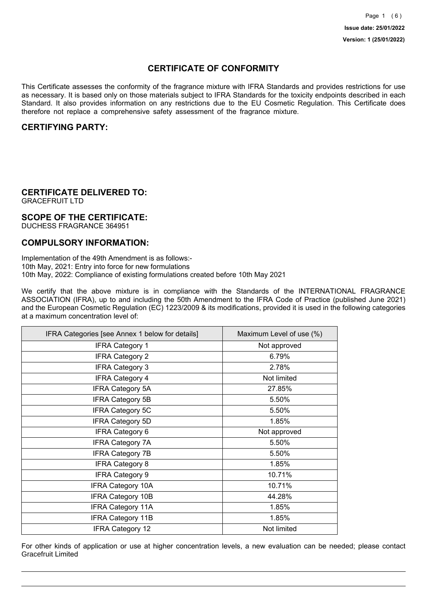## **CERTIFICATE OF CONFORMITY**

This Certificate assesses the conformity of the fragrance mixture with IFRA Standards and provides restrictions for use as necessary. It is based only on those materials subject to IFRA Standards for the toxicity endpoints described in each Standard. It also provides information on any restrictions due to the EU Cosmetic Regulation. This Certificate does therefore not replace a comprehensive safety assessment of the fragrance mixture.

## **CERTIFYING PARTY:**

## **CERTIFICATE DELIVERED TO:**

GRACEFRUIT LTD

## **SCOPE OF THE CERTIFICATE:**

DUCHESS FRAGRANCE 364951

### **COMPULSORY INFORMATION:**

Implementation of the 49th Amendment is as follows:- 10th May, 2021: Entry into force for new formulations 10th May, 2022: Compliance of existing formulations created before 10th May 2021

We certify that the above mixture is in compliance with the Standards of the INTERNATIONAL FRAGRANCE ASSOCIATION (IFRA), up to and including the 50th Amendment to the IFRA Code of Practice (published June 2021) and the European Cosmetic Regulation (EC) 1223/2009 & its modifications, provided it is used in the following categories at a maximum concentration level of:

| IFRA Categories [see Annex 1 below for details] | Maximum Level of use (%) |
|-------------------------------------------------|--------------------------|
| <b>IFRA Category 1</b>                          | Not approved             |
| <b>IFRA Category 2</b>                          | 6.79%                    |
| <b>IFRA Category 3</b>                          | 2.78%                    |
| <b>IFRA Category 4</b>                          | Not limited              |
| <b>IFRA Category 5A</b>                         | 27.85%                   |
| <b>IFRA Category 5B</b>                         | 5.50%                    |
| <b>IFRA Category 5C</b>                         | 5.50%                    |
| <b>IFRA Category 5D</b>                         | 1.85%                    |
| <b>IFRA Category 6</b>                          | Not approved             |
| <b>IFRA Category 7A</b>                         | 5.50%                    |
| <b>IFRA Category 7B</b>                         | 5.50%                    |
| <b>IFRA Category 8</b>                          | 1.85%                    |
| <b>IFRA Category 9</b>                          | 10.71%                   |
| <b>IFRA Category 10A</b>                        | 10.71%                   |
| <b>IFRA Category 10B</b>                        | 44.28%                   |
| <b>IFRA Category 11A</b>                        | 1.85%                    |
| <b>IFRA Category 11B</b>                        | 1.85%                    |
| <b>IFRA Category 12</b>                         | Not limited              |

For other kinds of application or use at higher concentration levels, a new evaluation can be needed; please contact Gracefruit Limited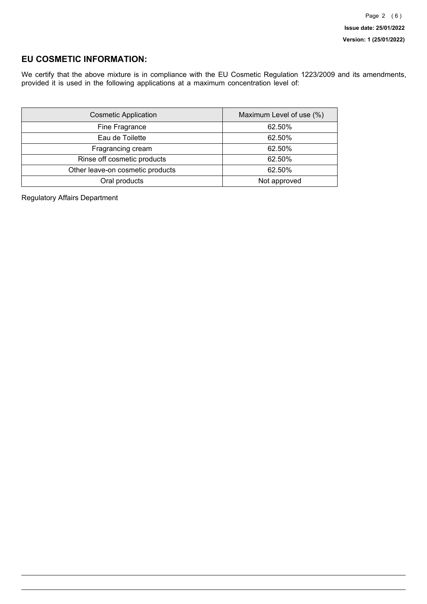## **EU COSMETIC INFORMATION:**

We certify that the above mixture is in compliance with the EU Cosmetic Regulation 1223/2009 and its amendments, provided it is used in the following applications at a maximum concentration level of:

| <b>Cosmetic Application</b>      | Maximum Level of use (%) |
|----------------------------------|--------------------------|
| Fine Fragrance                   | 62.50%                   |
| Eau de Toilette                  | 62.50%                   |
| Fragrancing cream                | 62.50%                   |
| Rinse off cosmetic products      | 62.50%                   |
| Other leave-on cosmetic products | 62.50%                   |
| Oral products                    | Not approved             |

Regulatory Affairs Department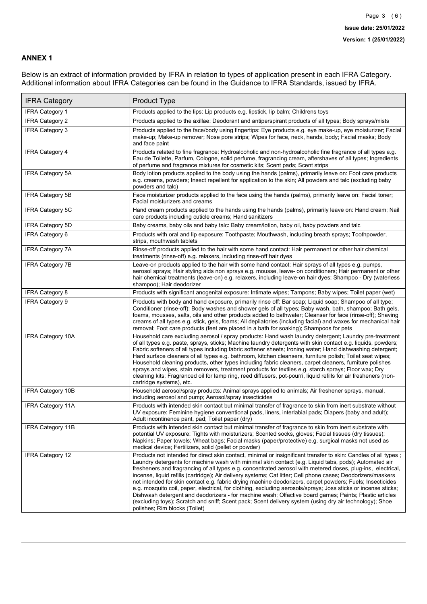### **ANNEX 1**

Below is an extract of information provided by IFRA in relation to types of application present in each IFRA Category. Additional information about IFRA Categories can be found in the Guidance to IFRA Standards, issued by IFRA.

| <b>IFRA Category</b>     | Product Type                                                                                                                                                                                                                                                                                                                                                                                                                                                                                                                                                                                                                                                                                                                                                                                                                                                                                                                                 |
|--------------------------|----------------------------------------------------------------------------------------------------------------------------------------------------------------------------------------------------------------------------------------------------------------------------------------------------------------------------------------------------------------------------------------------------------------------------------------------------------------------------------------------------------------------------------------------------------------------------------------------------------------------------------------------------------------------------------------------------------------------------------------------------------------------------------------------------------------------------------------------------------------------------------------------------------------------------------------------|
| IFRA Category 1          | Products applied to the lips: Lip products e.g. lipstick, lip balm; Childrens toys                                                                                                                                                                                                                                                                                                                                                                                                                                                                                                                                                                                                                                                                                                                                                                                                                                                           |
| <b>IFRA Category 2</b>   | Products applied to the axillae: Deodorant and antiperspirant products of all types; Body sprays/mists                                                                                                                                                                                                                                                                                                                                                                                                                                                                                                                                                                                                                                                                                                                                                                                                                                       |
| <b>IFRA Category 3</b>   | Products applied to the face/body using fingertips: Eye products e.g. eye make-up, eye moisturizer; Facial<br>make-up; Make-up remover; Nose pore strips; Wipes for face, neck, hands, body; Facial masks; Body<br>and face paint                                                                                                                                                                                                                                                                                                                                                                                                                                                                                                                                                                                                                                                                                                            |
| <b>IFRA Category 4</b>   | Products related to fine fragrance: Hydroalcoholic and non-hydroalcoholic fine fragrance of all types e.g.<br>Eau de Toilette, Parfum, Cologne, solid perfume, fragrancing cream, aftershaves of all types; Ingredients<br>of perfume and fragrance mixtures for cosmetic kits; Scent pads; Scent strips                                                                                                                                                                                                                                                                                                                                                                                                                                                                                                                                                                                                                                     |
| <b>IFRA Category 5A</b>  | Body lotion products applied to the body using the hands (palms), primarily leave on: Foot care products<br>e.g. creams, powders; Insect repellent for application to the skin; All powders and talc (excluding baby<br>powders and talc)                                                                                                                                                                                                                                                                                                                                                                                                                                                                                                                                                                                                                                                                                                    |
| IFRA Category 5B         | Face moisturizer products applied to the face using the hands (palms), primarily leave on: Facial toner;<br>Facial moisturizers and creams                                                                                                                                                                                                                                                                                                                                                                                                                                                                                                                                                                                                                                                                                                                                                                                                   |
| <b>IFRA Category 5C</b>  | Hand cream products applied to the hands using the hands (palms), primarily leave on: Hand cream; Nail<br>care products including cuticle creams; Hand sanitizers                                                                                                                                                                                                                                                                                                                                                                                                                                                                                                                                                                                                                                                                                                                                                                            |
| <b>IFRA Category 5D</b>  | Baby creams, baby oils and baby talc: Baby cream/lotion, baby oil, baby powders and talc                                                                                                                                                                                                                                                                                                                                                                                                                                                                                                                                                                                                                                                                                                                                                                                                                                                     |
| IFRA Category 6          | Products with oral and lip exposure: Toothpaste; Mouthwash, including breath sprays; Toothpowder,<br>strips, mouthwash tablets                                                                                                                                                                                                                                                                                                                                                                                                                                                                                                                                                                                                                                                                                                                                                                                                               |
| <b>IFRA Category 7A</b>  | Rinse-off products applied to the hair with some hand contact: Hair permanent or other hair chemical<br>treatments (rinse-off) e.g. relaxers, including rinse-off hair dyes                                                                                                                                                                                                                                                                                                                                                                                                                                                                                                                                                                                                                                                                                                                                                                  |
| <b>IFRA Category 7B</b>  | Leave-on products applied to the hair with some hand contact: Hair sprays of all types e.g. pumps,<br>aerosol sprays; Hair styling aids non sprays e.g. mousse, leave- on conditioners; Hair permanent or other<br>hair chemical treatments (leave-on) e.g. relaxers, including leave-on hair dyes; Shampoo - Dry (waterless<br>shampoo); Hair deodorizer                                                                                                                                                                                                                                                                                                                                                                                                                                                                                                                                                                                    |
| <b>IFRA Category 8</b>   | Products with significant anogenital exposure: Intimate wipes; Tampons; Baby wipes; Toilet paper (wet)                                                                                                                                                                                                                                                                                                                                                                                                                                                                                                                                                                                                                                                                                                                                                                                                                                       |
| IFRA Category 9          | Products with body and hand exposure, primarily rinse off: Bar soap; Liquid soap; Shampoo of all type;<br>Conditioner (rinse-off); Body washes and shower gels of all types; Baby wash, bath, shampoo; Bath gels,<br>foams, mousses, salts, oils and other products added to bathwater; Cleanser for face (rinse-off); Shaving<br>creams of all types e.g. stick, gels, foams; All depilatories (including facial) and waxes for mechanical hair<br>removal; Foot care products (feet are placed in a bath for soaking); Shampoos for pets                                                                                                                                                                                                                                                                                                                                                                                                   |
| <b>IFRA Category 10A</b> | Household care excluding aerosol / spray products: Hand wash laundry detergent; Laundry pre-treatment<br>of all types e.g. paste, sprays, sticks; Machine laundry detergents with skin contact e.g. liquids, powders;<br>Fabric softeners of all types including fabric softener sheets; Ironing water; Hand dishwashing detergent;<br>Hard surface cleaners of all types e.g. bathroom, kitchen cleansers, furniture polish; Toilet seat wipes;<br>Household cleaning products, other types including fabric cleaners, carpet cleaners, furniture polishes<br>sprays and wipes, stain removers, treatment products for textiles e.g. starch sprays; Floor wax; Dry<br>cleaning kits; Fragranced oil for lamp ring, reed diffusers, pot-pourri, liquid refills for air fresheners (non-<br>cartridge systems), etc.                                                                                                                          |
| <b>IFRA Category 10B</b> | Household aerosol/spray products: Animal sprays applied to animals; Air freshener sprays, manual,<br>including aerosol and pump; Aerosol/spray insecticides                                                                                                                                                                                                                                                                                                                                                                                                                                                                                                                                                                                                                                                                                                                                                                                  |
| <b>IFRA Category 11A</b> | Products with intended skin contact but minimal transfer of fragrance to skin from inert substrate without<br>UV exposure: Feminine hygiene conventional pads, liners, interlabial pads; Diapers (baby and adult);<br>Adult incontinence pant, pad; Toilet paper (dry)                                                                                                                                                                                                                                                                                                                                                                                                                                                                                                                                                                                                                                                                       |
| <b>IFRA Category 11B</b> | Products with intended skin contact but minimal transfer of fragrance to skin from inert substrate with<br>potential UV exposure: Tights with moisturizers; Scented socks, gloves; Facial tissues (dry tissues);<br>Napkins; Paper towels; Wheat bags; Facial masks (paper/protective) e.g. surgical masks not used as<br>medical device; Fertilizers, solid (pellet or powder)                                                                                                                                                                                                                                                                                                                                                                                                                                                                                                                                                              |
| <b>IFRA Category 12</b>  | Products not intended for direct skin contact, minimal or insignificant transfer to skin: Candles of all types;<br>Laundry detergents for machine wash with minimal skin contact (e.g. Liquid tabs, pods); Automated air<br>fresheners and fragrancing of all types e.g. concentrated aerosol with metered doses, plug-ins, electrical,<br>incense, liquid refills (cartridge); Air delivery systems; Cat litter; Cell phone cases; Deodorizers/maskers<br>not intended for skin contact e.g. fabric drying machine deodorizers, carpet powders; Fuels; Insecticides<br>e.g. mosquito coil, paper, electrical, for clothing, excluding aerosols/sprays; Joss sticks or incense sticks;<br>Dishwash detergent and deodorizers - for machine wash; Olfactive board games; Paints; Plastic articles<br>(excluding toys); Scratch and sniff; Scent pack; Scent delivery system (using dry air technology); Shoe<br>polishes; Rim blocks (Toilet) |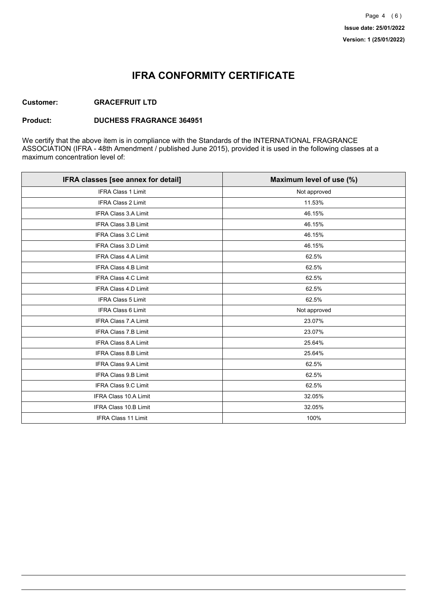## **IFRA CONFORMITY CERTIFICATE**

#### **Customer: GRACEFRUIT LTD**

#### **Product: DUCHESS FRAGRANCE 364951**

We certify that the above item is in compliance with the Standards of the INTERNATIONAL FRAGRANCE ASSOCIATION (IFRA - 48th Amendment / published June 2015), provided it is used in the following classes at a maximum concentration level of:

| IFRA classes [see annex for detail] | Maximum level of use (%) |
|-------------------------------------|--------------------------|
| <b>IFRA Class 1 Limit</b>           | Not approved             |
| IFRA Class 2 Limit                  | 11.53%                   |
| <b>IFRA Class 3.A Limit</b>         | 46.15%                   |
| IFRA Class 3.B Limit                | 46.15%                   |
| <b>IFRA Class 3.C Limit</b>         | 46.15%                   |
| IFRA Class 3.D Limit                | 46.15%                   |
| <b>IFRA Class 4.A Limit</b>         | 62.5%                    |
| <b>IFRA Class 4.B Limit</b>         | 62.5%                    |
| <b>IFRA Class 4.C Limit</b>         | 62.5%                    |
| <b>IFRA Class 4.D Limit</b>         | 62.5%                    |
| <b>IFRA Class 5 Limit</b>           | 62.5%                    |
| IFRA Class 6 Limit                  | Not approved             |
| <b>IFRA Class 7.A Limit</b>         | 23.07%                   |
| <b>IFRA Class 7.B Limit</b>         | 23.07%                   |
| <b>IFRA Class 8.A Limit</b>         | 25.64%                   |
| IFRA Class 8.B Limit                | 25.64%                   |
| IFRA Class 9.A Limit                | 62.5%                    |
| <b>IFRA Class 9.B Limit</b>         | 62.5%                    |
| IFRA Class 9.C Limit                | 62.5%                    |
| IFRA Class 10.A Limit               | 32.05%                   |
| IFRA Class 10.B Limit               | 32.05%                   |
| <b>IFRA Class 11 Limit</b>          | 100%                     |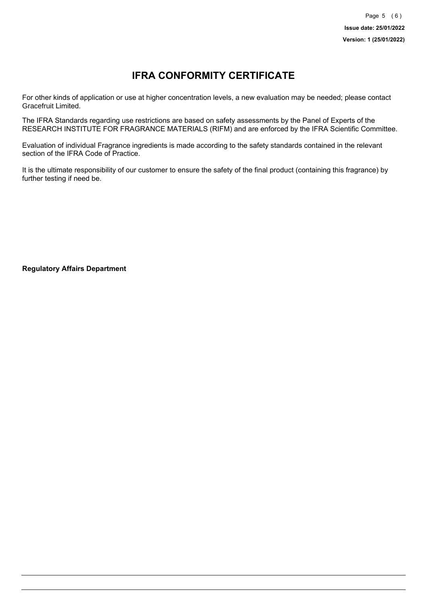# **IFRA CONFORMITY CERTIFICATE**

For other kinds of application or use at higher concentration levels, a new evaluation may be needed; please contact Gracefruit Limited.

The IFRA Standards regarding use restrictions are based on safety assessments by the Panel of Experts of the RESEARCH INSTITUTE FOR FRAGRANCE MATERIALS (RIFM) and are enforced by the IFRA Scientific Committee.

Evaluation of individual Fragrance ingredients is made according to the safety standards contained in the relevant section of the IFRA Code of Practice.

It is the ultimate responsibility of our customer to ensure the safety of the final product (containing this fragrance) by further testing if need be.

**Regulatory Affairs Department**